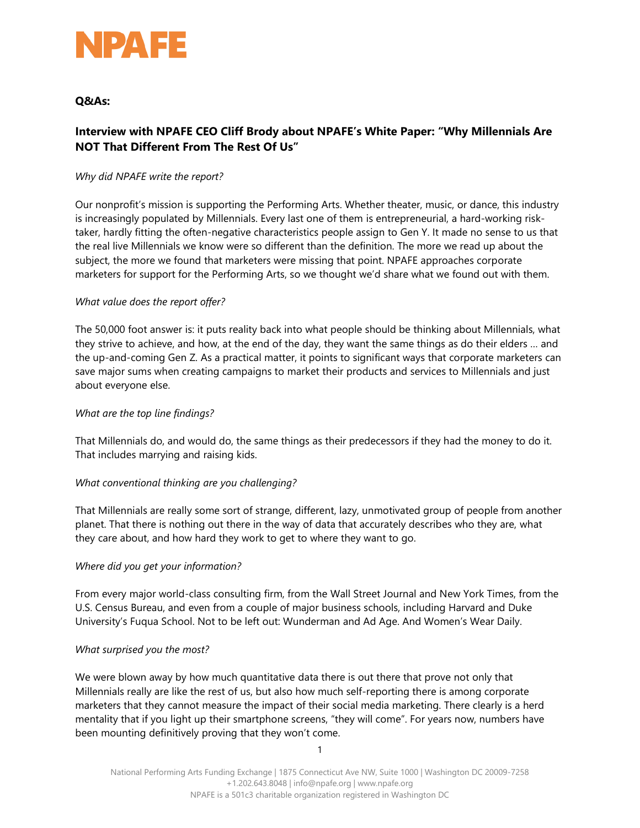

## **Q&As:**

# **Interview with NPAFE CEO Cliff Brody about NPAFE's White Paper: "Why Millennials Are NOT That Different From The Rest Of Us"**

## *Why did NPAFE write the report?*

Our nonprofit's mission is supporting the Performing Arts. Whether theater, music, or dance, this industry is increasingly populated by Millennials. Every last one of them is entrepreneurial, a hard-working risktaker, hardly fitting the often-negative characteristics people assign to Gen Y. It made no sense to us that the real live Millennials we know were so different than the definition. The more we read up about the subject, the more we found that marketers were missing that point. NPAFE approaches corporate marketers for support for the Performing Arts, so we thought we'd share what we found out with them.

## *What value does the report offer?*

The 50,000 foot answer is: it puts reality back into what people should be thinking about Millennials, what they strive to achieve, and how, at the end of the day, they want the same things as do their elders … and the up-and-coming Gen Z. As a practical matter, it points to significant ways that corporate marketers can save major sums when creating campaigns to market their products and services to Millennials and just about everyone else.

## *What are the top line findings?*

That Millennials do, and would do, the same things as their predecessors if they had the money to do it. That includes marrying and raising kids.

## *What conventional thinking are you challenging?*

That Millennials are really some sort of strange, different, lazy, unmotivated group of people from another planet. That there is nothing out there in the way of data that accurately describes who they are, what they care about, and how hard they work to get to where they want to go.

## *Where did you get your information?*

From every major world-class consulting firm, from the Wall Street Journal and New York Times, from the U.S. Census Bureau, and even from a couple of major business schools, including Harvard and Duke University's Fuqua School. Not to be left out: Wunderman and Ad Age. And Women's Wear Daily.

## *What surprised you the most?*

We were blown away by how much quantitative data there is out there that prove not only that Millennials really are like the rest of us, but also how much self-reporting there is among corporate marketers that they cannot measure the impact of their social media marketing. There clearly is a herd mentality that if you light up their smartphone screens, "they will come". For years now, numbers have been mounting definitively proving that they won't come.

1